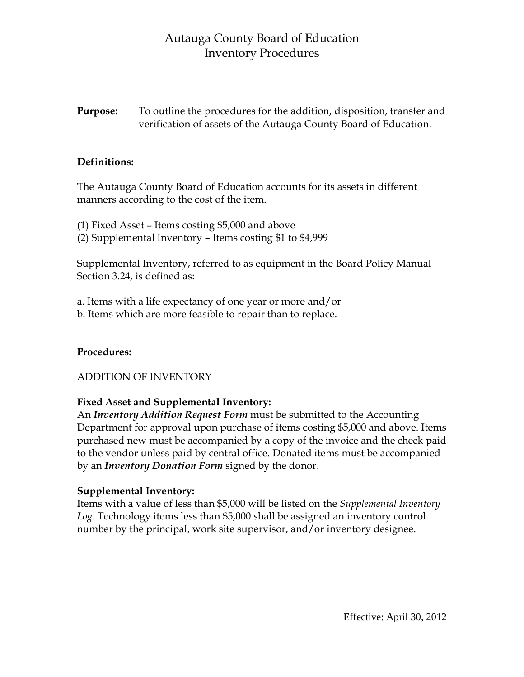# Autauga County Board of Education Inventory Procedures

**Purpose:** To outline the procedures for the addition, disposition, transfer and verification of assets of the Autauga County Board of Education.

## **Definitions:**

The Autauga County Board of Education accounts for its assets in different manners according to the cost of the item.

(1) Fixed Asset – Items costing \$5,000 and above (2) Supplemental Inventory – Items costing \$1 to \$4,999

Supplemental Inventory, referred to as equipment in the Board Policy Manual Section 3.24, is defined as:

a. Items with a life expectancy of one year or more and/or b. Items which are more feasible to repair than to replace.

### **Procedures:**

### ADDITION OF INVENTORY

## **Fixed Asset and Supplemental Inventory:**

An *Inventory Addition Request Form* must be submitted to the Accounting Department for approval upon purchase of items costing \$5,000 and above. Items purchased new must be accompanied by a copy of the invoice and the check paid to the vendor unless paid by central office. Donated items must be accompanied by an *Inventory Donation Form* signed by the donor.

### **Supplemental Inventory:**

Items with a value of less than \$5,000 will be listed on the *Supplemental Inventory Log*. Technology items less than \$5,000 shall be assigned an inventory control number by the principal, work site supervisor, and/or inventory designee.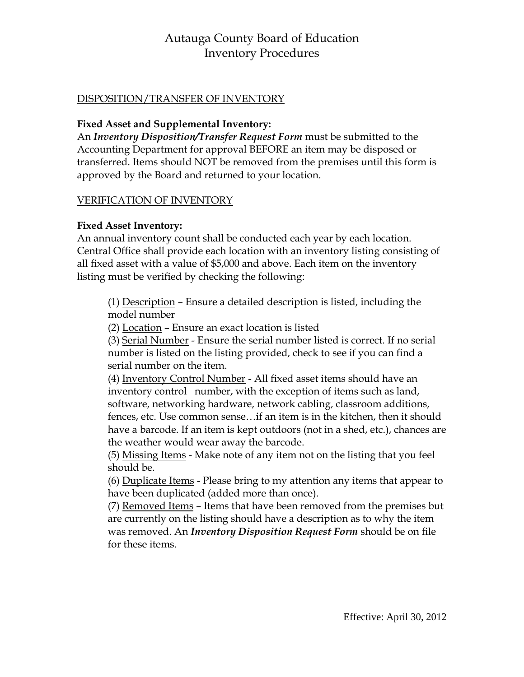# Autauga County Board of Education Inventory Procedures

## DISPOSITION/TRANSFER OF INVENTORY

### **Fixed Asset and Supplemental Inventory:**

An *Inventory Disposition/Transfer Request Form* must be submitted to the Accounting Department for approval BEFORE an item may be disposed or transferred. Items should NOT be removed from the premises until this form is approved by the Board and returned to your location.

### VERIFICATION OF INVENTORY

## **Fixed Asset Inventory:**

An annual inventory count shall be conducted each year by each location. Central Office shall provide each location with an inventory listing consisting of all fixed asset with a value of \$5,000 and above. Each item on the inventory listing must be verified by checking the following:

(1) Description – Ensure a detailed description is listed, including the model number

(2) Location – Ensure an exact location is listed

(3) Serial Number - Ensure the serial number listed is correct. If no serial number is listed on the listing provided, check to see if you can find a serial number on the item.

(4) Inventory Control Number - All fixed asset items should have an inventory control number, with the exception of items such as land, software, networking hardware, network cabling, classroom additions, fences, etc. Use common sense…if an item is in the kitchen, then it should have a barcode. If an item is kept outdoors (not in a shed, etc.), chances are the weather would wear away the barcode.

(5) Missing Items - Make note of any item not on the listing that you feel should be.

(6) Duplicate Items - Please bring to my attention any items that appear to have been duplicated (added more than once).

(7) Removed Items – Items that have been removed from the premises but are currently on the listing should have a description as to why the item was removed. An *Inventory Disposition Request Form* should be on file for these items.